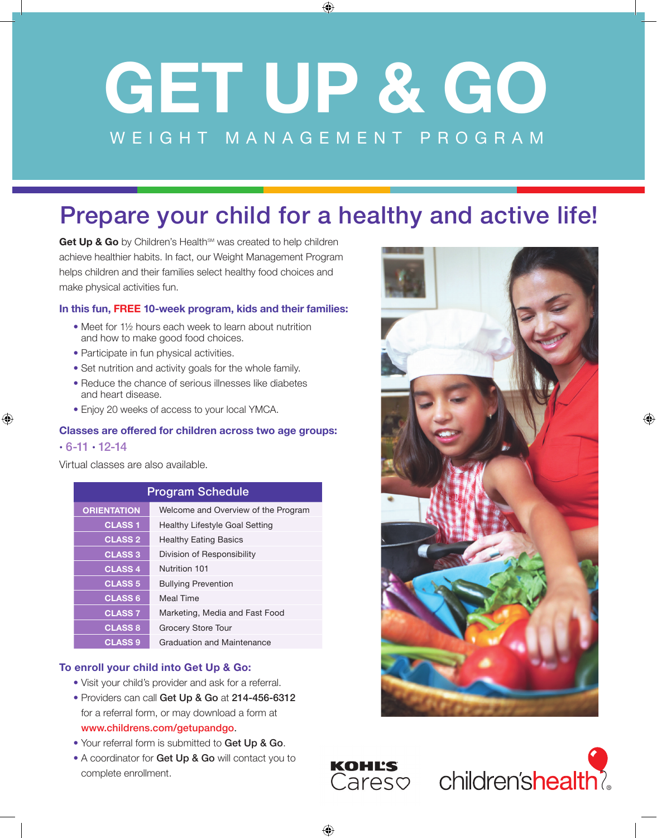# **GET UP & GO** WEIGHT MANAGEMENT PROGRAM

⊕

## Prepare your child for a healthy and active life!

Get Up & Go by Children's Health<sup>SM</sup> was created to help children achieve healthier habits. In fact, our Weight Management Program helps children and their families select healthy food choices and make physical activities fun.

#### **In this fun, FREE 10-week program, kids and their families:**

- Meet for 1½ hours each week to learn about nutrition and how to make good food choices.
- Participate in fun physical activities.
- Set nutrition and activity goals for the whole family.
- Reduce the chance of serious illnesses like diabetes and heart disease.
- Enjoy 20 weeks of access to your local YMCA.

#### **Classes are offered for children across two age groups:**

#### $\cdot$  6-11  $\cdot$  12-14

⊕

Virtual classes are also available.

| <b>Program Schedule</b> |                                     |
|-------------------------|-------------------------------------|
| ORIENTATION             | Welcome and Overview of the Program |
| <b>CLASS1</b>           | Healthy Lifestyle Goal Setting      |
| <b>CLASS 2</b>          | <b>Healthy Eating Basics</b>        |
| <b>CLASS 3</b>          | Division of Responsibility          |
| <b>CLASS 4</b>          | Nutrition 101                       |
| <b>CLASS 5</b>          | <b>Bullying Prevention</b>          |
| <b>CLASS 6</b>          | <b>Meal Time</b>                    |
| <b>CLASS 7</b>          | Marketing, Media and Fast Food      |
| <b>CLASS 8</b>          | <b>Grocery Store Tour</b>           |
| <b>CLASS 9</b>          | Graduation and Maintenance          |

#### **To enroll your child into Get Up & Go:**

- Visit your child's provider and ask for a referral.
- Providers can call Get Up & Go at 214-456-6312 for a referral form, or may download a form at www.childrens.com/getupandgo.
- Your referral form is submitted to Get Up & Go.
- A coordinator for Get Up & Go will contact you to complete enrollment.



♠



⊕